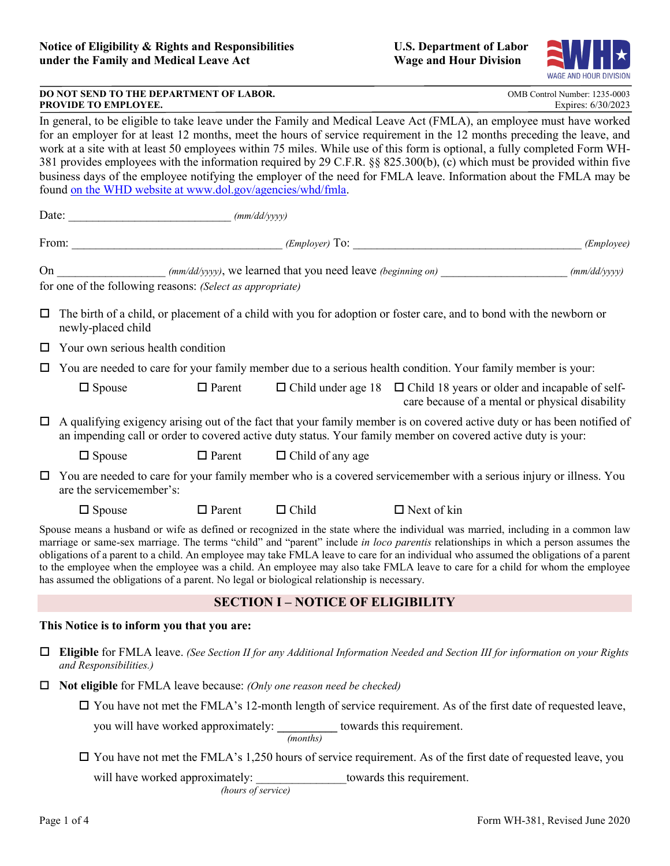

| DO NOT SEND TO THE DEPARTMENT OF LABOR. | OMB Control Number: 1235-0003 |
|-----------------------------------------|-------------------------------|
| <b>PROVIDE TO EMPLOYEE.</b>             | Expires: 6/30/2023            |

 work at a site with at least 50 employees within 75 miles. While use of this form is optional, a fully completed Form WH- business days of the employee notifying the employer of the need for FMLA leave. Information about the FMLA may be In general, to be eligible to take leave under the Family and Medical Leave Act (FMLA), an employee must have worked for an employer for at least 12 months, meet the hours of service requirement in the 12 months preceding the leave, and 381 provides employees with the information required by 29 C.F.R. §§ 825.300(b), (c) which must be provided within five found on the WHD website at [www.dol.gov/agencies/whd/fmla.](www.dol.gov/agencies/whd/fmla)

Date: \_\_\_\_\_\_\_\_\_\_\_\_\_\_\_\_\_\_\_\_\_\_\_\_\_\_\_ *(mm/dd/yyyy)* 

|                                                                                                                                                                     | From:                                                                                                                                                                                                                                   |               | $(Employer)$ To:        | <u> 2001 - Jan Samuel Barbara, martin da shekara 1992 - Andrew Samuel Barbara (</u>                                                                                                                                                                                                                                                                                                                                                                                                                                                              | <i>(Employee)</i> |  |  |
|---------------------------------------------------------------------------------------------------------------------------------------------------------------------|-----------------------------------------------------------------------------------------------------------------------------------------------------------------------------------------------------------------------------------------|---------------|-------------------------|--------------------------------------------------------------------------------------------------------------------------------------------------------------------------------------------------------------------------------------------------------------------------------------------------------------------------------------------------------------------------------------------------------------------------------------------------------------------------------------------------------------------------------------------------|-------------------|--|--|
| On _______________________ (mm/dd/yyyy), we learned that you need leave (beginning on)<br>(mm/dd/yyyy)<br>for one of the following reasons: (Select as appropriate) |                                                                                                                                                                                                                                         |               |                         |                                                                                                                                                                                                                                                                                                                                                                                                                                                                                                                                                  |                   |  |  |
| 0                                                                                                                                                                   | The birth of a child, or placement of a child with you for adoption or foster care, and to bond with the newborn or<br>newly-placed child                                                                                               |               |                         |                                                                                                                                                                                                                                                                                                                                                                                                                                                                                                                                                  |                   |  |  |
|                                                                                                                                                                     | Your own serious health condition                                                                                                                                                                                                       |               |                         |                                                                                                                                                                                                                                                                                                                                                                                                                                                                                                                                                  |                   |  |  |
|                                                                                                                                                                     | You are needed to care for your family member due to a serious health condition. Your family member is your:                                                                                                                            |               |                         |                                                                                                                                                                                                                                                                                                                                                                                                                                                                                                                                                  |                   |  |  |
|                                                                                                                                                                     | $\Box$ Spouse                                                                                                                                                                                                                           | $\Box$ Parent |                         | $\Box$ Child under age 18 $\Box$ Child 18 years or older and incapable of self-<br>care because of a mental or physical disability                                                                                                                                                                                                                                                                                                                                                                                                               |                   |  |  |
| $\Box$                                                                                                                                                              | A qualifying exigency arising out of the fact that your family member is on covered active duty or has been notified of<br>an impending call or order to covered active duty status. Your family member on covered active duty is your: |               |                         |                                                                                                                                                                                                                                                                                                                                                                                                                                                                                                                                                  |                   |  |  |
|                                                                                                                                                                     | $\Box$ Spouse                                                                                                                                                                                                                           | $\Box$ Parent | $\Box$ Child of any age |                                                                                                                                                                                                                                                                                                                                                                                                                                                                                                                                                  |                   |  |  |
|                                                                                                                                                                     | $\Box$ You are needed to care for your family member who is a covered servicemember with a serious injury or illness. You<br>are the servicemember's:                                                                                   |               |                         |                                                                                                                                                                                                                                                                                                                                                                                                                                                                                                                                                  |                   |  |  |
|                                                                                                                                                                     | $\Box$ Spouse                                                                                                                                                                                                                           | $\Box$ Parent | $\Box$ Child            | $\Box$ Next of kin                                                                                                                                                                                                                                                                                                                                                                                                                                                                                                                               |                   |  |  |
|                                                                                                                                                                     | has assumed the obligations of a parent. No legal or biological relationship is necessary.                                                                                                                                              |               |                         | Spouse means a husband or wife as defined or recognized in the state where the individual was married, including in a common law<br>marriage or same-sex marriage. The terms "child" and "parent" include in loco parentis relationships in which a person assumes the<br>obligations of a parent to a child. An employee may take FMLA leave to care for an individual who assumed the obligations of a parent<br>to the employee when the employee was a child. An employee may also take FMLA leave to care for a child for whom the employee |                   |  |  |

# **SECTION I – NOTICE OF ELIGIBILITY**

### **This Notice is to inform you that you are:**

- **Eligible** for FMLA leave. *(See Section II for any Additional Information Needed and Section III for information on your Rights and Responsibilities.)*
- **Not eligible** for FMLA leave because: *(Only one reason need be checked)*

 $\Box$  You have not met the FMLA's 12-month length of service requirement. As of the first date of requested leave, you will have worked approximately: **\_\_\_\_\_\_\_\_\_\_** towards this requirement.

*(months)* 

You have not met the FMLA's 1,250 hours of service requirement. As of the first date of requested leave, you

will have worked approximately:  $\blacksquare$  towards this requirement.

*(hours of service)*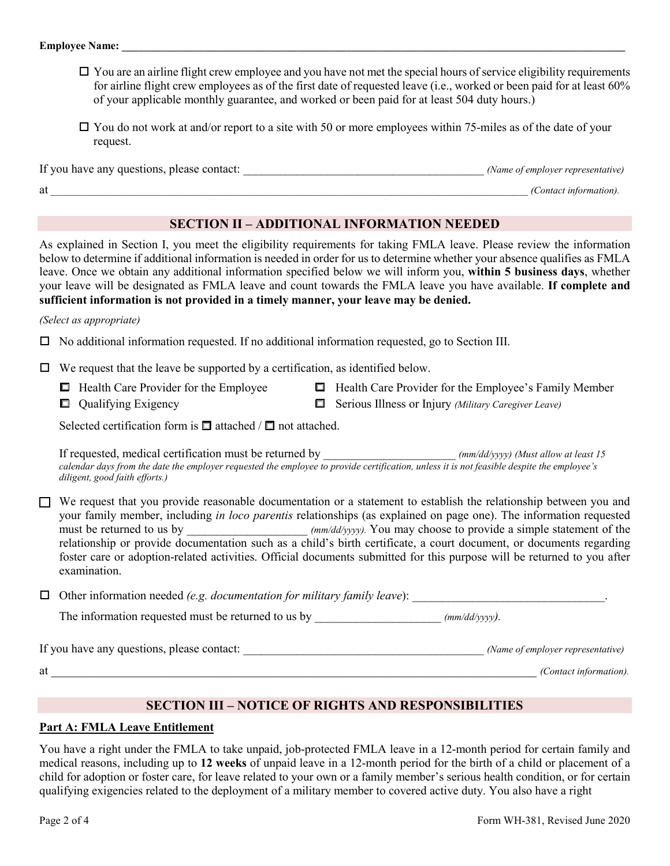- $\Box$  You are an airline flight crew employee and you have not met the special hours of service eligibility requirements for airline flight crew employees as of the first date of requested leave (i.e., worked or been paid for at least 60% of your applicable monthly guarantee, and worked or been paid for at least 504 duty hours.)
- $\Box$  You do not work at and/or report to a site with 50 or more employees within 75-miles as of the date of your request.

If you have any questions, please contact:  $\blacksquare$ at  $\overline{a}$  (Contact information).

# **SECTION II – ADDITIONAL INFORMATION NEEDED**

 **sufficient information is not provided in a timely manner, your leave may be denied.** As explained in Section I, you meet the eligibility requirements for taking FMLA leave. Please review the information below to determine if additional information is needed in order for us to determine whether your absence qualifies as FMLA leave. Once we obtain any additional information specified below we will inform you, **within 5 business days**, whether your leave will be designated as FMLA leave and count towards the FMLA leave you have available. **If complete and** 

#### *(Select as appropriate)*

 $\Box$  No additional information requested. If no additional information requested, go to Section III.

 $\Box$  We request that the leave be supported by a certification, as identified below.

- Health Care Provider for the Employee
- $\Box$  Qualifying Exigency
- $\Box$  Health Care Provider for the Employee's Family Member **Q** Serious Illness or Injury *(Military Caregiver Leave)*
- Selected certification form is  $\Box$  attached /  $\Box$  not attached.

 If requested, medical certification must be returned by \_\_\_\_\_\_\_\_\_\_\_\_\_\_\_\_\_\_\_\_\_\_ *(mm/dd/yyyy) (Must allow at least 15 calendar days from the date the employer requested the employee to provide certification, unless it is not feasible despite the employee's diligent, good faith efforts.)* 

must be returned to us by \_\_\_\_\_\_\_\_\_\_\_\_\_\_\_\_\_\_\_\_\_ *(mm/dd/yyyy)*. You may choose to provide a simple statement of the  $\Box$  We request that you provide reasonable documentation or a statement to establish the relationship between you and your family member, including *in loco parentis* relationships (as explained on page one). The information requested relationship or provide documentation such as a child's birth certificate, a court document, or documents regarding foster care or adoption-related activities. Official documents submitted for this purpose will be returned to you after examination.

 $\Box$  Other information needed *(e.g. documentation for military family leave)*:

The information requested must be returned to us by  $(mm/dd/yyyy)$ .

If you have any questions, please contact: \_\_\_\_\_\_\_\_\_\_\_\_\_\_\_\_\_\_\_\_\_\_\_\_\_\_\_\_\_\_\_\_\_\_\_\_\_\_\_\_ *(Name of employer representative)*  at the contact information). The contact information  $\hat{C}$  and  $\hat{C}$  is the contact information).  $\hat{C}$ 

# **SECTION III – NOTICE OF RIGHTS AND RESPONSIBILITIES**

### **Part A: FMLA Leave Entitlement**

 You have a right under the FMLA to take unpaid, job-protected FMLA leave in a 12-month period for certain family and medical reasons, including up to **12 weeks** of unpaid leave in a 12-month period for the birth of a child or placement of a child for adoption or foster care, for leave related to your own or a family member's serious health condition, or for certain qualifying exigencies related to the deployment of a military member to covered active duty. You also have a right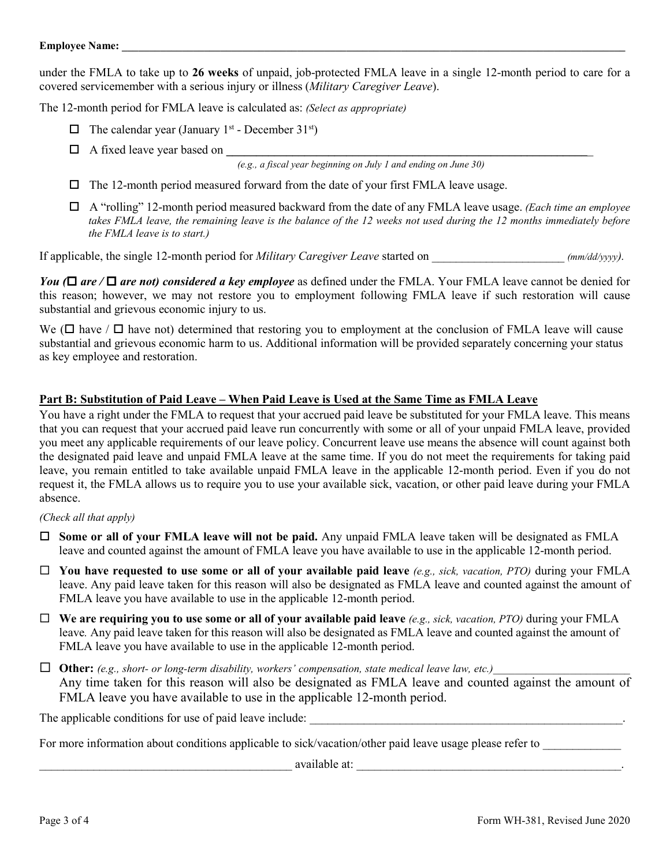covered servicemember with a serious injury or illness (Military Caregiver Leave). under the FMLA to take up to **26 weeks** of unpaid, job-protected FMLA leave in a single 12-month period to care for a

The 12-month period for FMLA leave is calculated as: *(Select as appropriate)* 

- $\Box$  The calendar year (January 1<sup>st</sup> December 31<sup>st</sup>)
- A fixed leave year based on **\_\_\_\_\_\_\_\_\_\_\_\_\_\_\_\_\_\_\_\_\_\_\_\_\_\_\_\_\_\_\_\_\_\_\_\_\_\_\_\_\_\_\_\_\_\_\_\_\_\_\_\_\_\_\_\_\_\_\_\_**\_

*(e.g., a fiscal year beginning on July 1 and ending on June 30)* 

- $\Box$  The 12-month period measured forward from the date of your first FMLA leave usage.
- A "rolling" 12-month period measured backward from the date of any FMLA leave usage. *(Each time an employee the FMLA leave is to start.)*  takes FMLA leave, the remaining leave is the balance of the 12 weeks not used during the 12 months immediately before

If applicable, the single 12-month period for *Military Caregiver Leave* started on \_\_\_\_\_\_\_\_\_\_\_\_\_\_\_\_\_\_\_\_\_\_ *(mm/dd/yyyy).* 

*You* ( $\Box$  *are* / $\Box$  *are not) considered a key employee* as defined under the FMLA. Your FMLA leave cannot be denied for this reason; however, we may not restore you to employment following FMLA leave if such restoration will cause substantial and grievous economic injury to us.

We ( $\Box$  have /  $\Box$  have not) determined that restoring you to employment at the conclusion of FMLA leave will cause substantial and grievous economic harm to us. Additional information will be provided separately concerning your status as key employee and restoration.

### **Part B: Substitution of Paid Leave – When Paid Leave is Used at the Same Time as FMLA Leave**

 You have a right under the FMLA to request that your accrued paid leave be substituted for your FMLA leave. This means that you can request that your accrued paid leave run concurrently with some or all of your unpaid FMLA leave, provided leave, you remain entitled to take available unpaid FMLA leave in the applicable 12-month period. Even if you do not absence. you meet any applicable requirements of our leave policy. Concurrent leave use means the absence will count against both the designated paid leave and unpaid FMLA leave at the same time. If you do not meet the requirements for taking paid request it, the FMLA allows us to require you to use your available sick, vacation, or other paid leave during your FMLA

#### *(Check all that apply)*

- **Some or all of your FMLA leave will not be paid.** Any unpaid FMLA leave taken will be designated as FMLA leave and counted against the amount of FMLA leave you have available to use in the applicable 12-month period.
- leave. Any paid leave taken for this reason will also be designated as FMLA leave and counted against the amount of **You have requested to use some or all of your available paid leave** *(e.g., sick, vacation, PTO)* during your FMLA FMLA leave you have available to use in the applicable 12-month period.
- **We are requiring you to use some or all of your available paid leave** *(e.g., sick, vacation, PTO)* during your FMLA leave*.* Any paid leave taken for this reason will also be designated as FMLA leave and counted against the amount of FMLA leave you have available to use in the applicable 12-month period.

 $\Box$  **Other:** (e.g., short- or long-term disability, workers' compensation, state medical leave law, etc.) Any time taken for this reason will also be designated as FMLA leave and counted against the amount of FMLA leave you have available to use in the applicable 12-month period.

The applicable conditions for use of paid leave include:

For more information about conditions applicable to sick/vacation/other paid leave usage please refer to \_\_\_\_\_\_\_\_\_\_\_\_\_ \_\_\_\_\_\_\_\_\_\_\_\_\_\_\_\_\_\_\_\_\_\_\_\_\_\_\_\_\_\_\_\_\_\_\_\_\_\_\_\_\_\_ available at: \_\_\_\_\_\_\_\_\_\_\_\_\_\_\_\_\_\_\_\_\_\_\_\_\_\_\_\_\_\_\_\_\_\_\_\_\_\_\_\_\_\_\_\_.